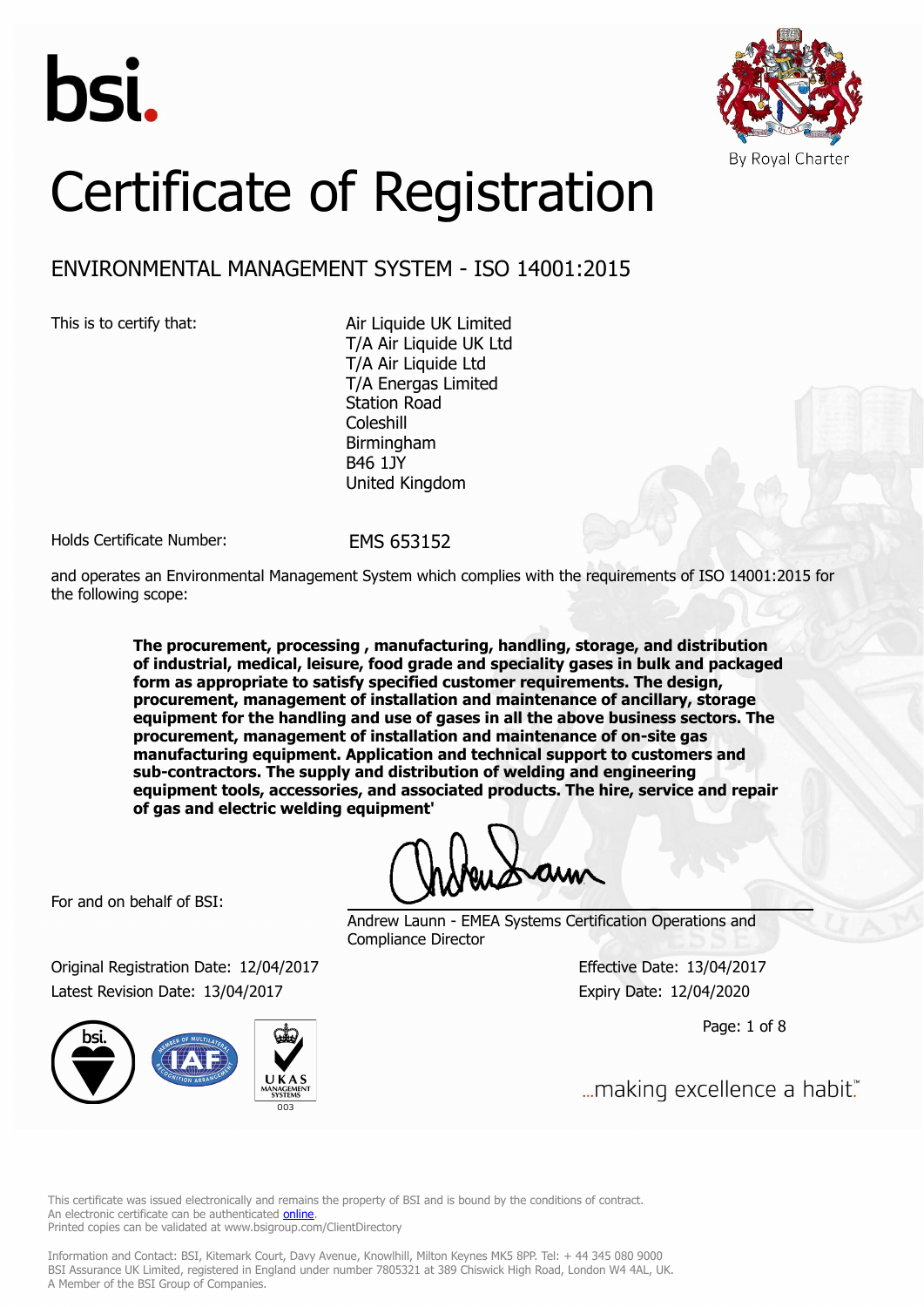



# Certificate of Registration

## ENVIRONMENTAL MANAGEMENT SYSTEM - ISO 14001:2015

This is to certify that: Air Liquide UK Limited T/A Air Liquide UK Ltd T/A Air Liquide Ltd T/A Energas Limited Station Road Coleshill Birmingham B46 1JY United Kingdom

Holds Certificate Number: EMS 653152

and operates an Environmental Management System which complies with the requirements of ISO 14001:2015 for the following scope:

> **The procurement, processing , manufacturing, handling, storage, and distribution of industrial, medical, leisure, food grade and speciality gases in bulk and packaged form as appropriate to satisfy specified customer requirements. The design, procurement, management of installation and maintenance of ancillary, storage equipment for the handling and use of gases in all the above business sectors. The procurement, management of installation and maintenance of on-site gas manufacturing equipment. Application and technical support to customers and sub-contractors. The supply and distribution of welding and engineering equipment tools, accessories, and associated products. The hire, service and repair of gas and electric welding equipment'**

For and on behalf of BSI:

Andrew Launn - EMEA Systems Certification Operations and Compliance Director

Original Registration Date: 12/04/2017 Effective Date: 13/04/2017 Latest Revision Date: 13/04/2017 Expiry Date: 12/04/2020



Page: 1 of 8

... making excellence a habit."

This certificate was issued electronically and remains the property of BSI and is bound by the conditions of contract. An electronic certificate can be authenticated **[online](https://pgplus.bsigroup.com/CertificateValidation/CertificateValidator.aspx?CertificateNumber=EMS+653152&ReIssueDate=13%2f04%2f2017&Template=uk)**. Printed copies can be validated at www.bsigroup.com/ClientDirectory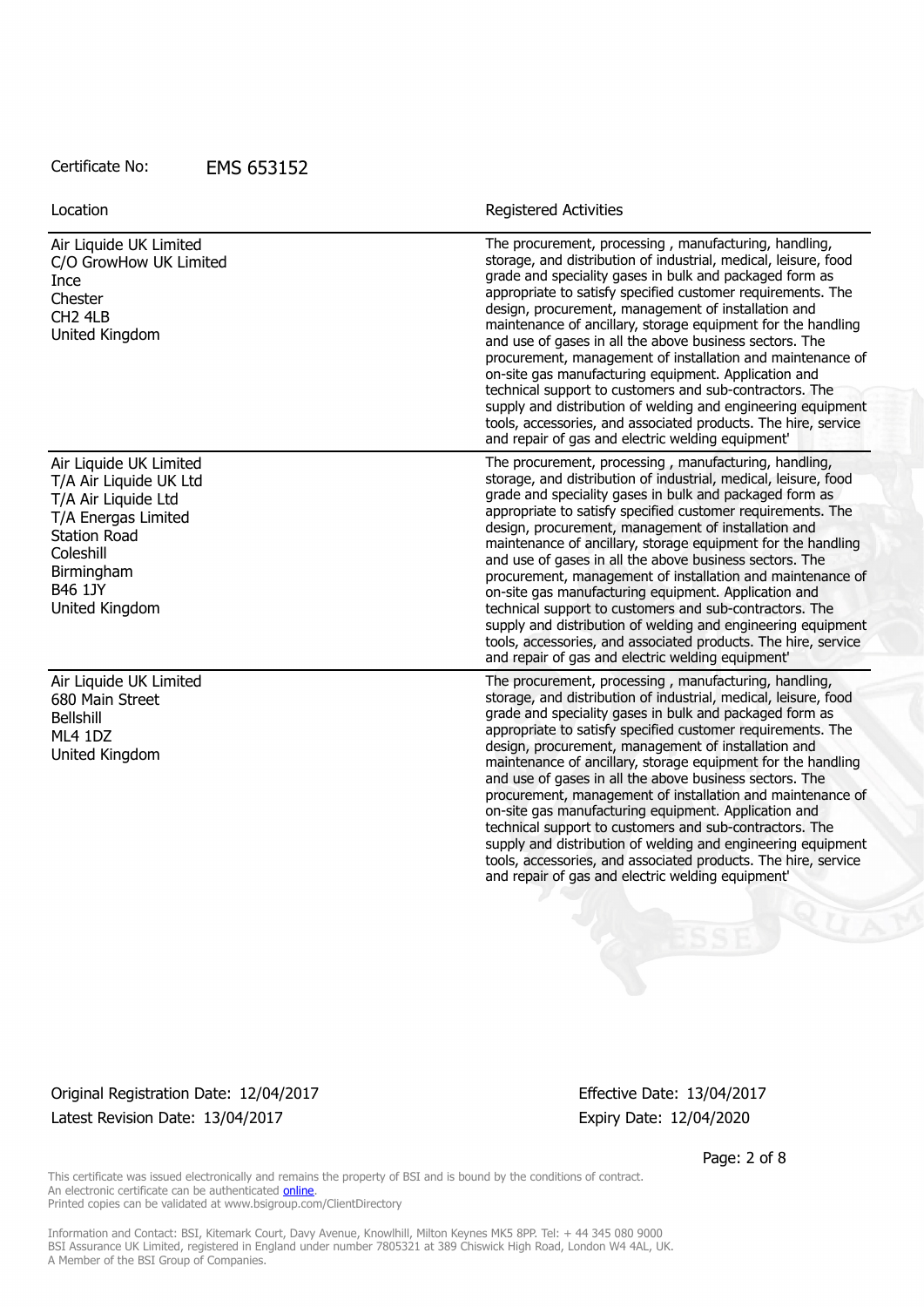| Location                                                                                                     | <b>Registered Activities</b>                                                                                                                                                                                                                                                                                                                                                                                                                                                                                                                                                                                                                                                                                                                                                                                 |
|--------------------------------------------------------------------------------------------------------------|--------------------------------------------------------------------------------------------------------------------------------------------------------------------------------------------------------------------------------------------------------------------------------------------------------------------------------------------------------------------------------------------------------------------------------------------------------------------------------------------------------------------------------------------------------------------------------------------------------------------------------------------------------------------------------------------------------------------------------------------------------------------------------------------------------------|
| Air Liquide UK Limited<br>C/O GrowHow UK Limited<br>Ince<br>Chester<br>CH <sub>2</sub> 4LB<br>United Kingdom | The procurement, processing, manufacturing, handling,<br>storage, and distribution of industrial, medical, leisure, food<br>grade and speciality gases in bulk and packaged form as<br>appropriate to satisfy specified customer requirements. The<br>design, procurement, management of installation and<br>maintenance of ancillary, storage equipment for the handling<br>and use of gases in all the above business sectors. The<br>procurement, management of installation and maintenance of<br>on-site gas manufacturing equipment. Application and<br>technical support to customers and sub-contractors. The<br>supply and distribution of welding and engineering equipment<br>tools, accessories, and associated products. The hire, service<br>and repair of gas and electric welding equipment' |
| Air Liquide UK Limited<br>T/A Air Liquide UK Ltd<br>T/A Air Liquide Ltd                                      | The procurement, processing, manufacturing, handling,<br>storage, and distribution of industrial, medical, leisure, food<br>grade and speciality gases in bulk and packaged form as                                                                                                                                                                                                                                                                                                                                                                                                                                                                                                                                                                                                                          |
| T/A Energas Limited<br><b>Station Road</b><br>Coleshill<br>Birmingham<br><b>B46 1JY</b><br>United Kingdom    | appropriate to satisfy specified customer requirements. The<br>design, procurement, management of installation and<br>maintenance of ancillary, storage equipment for the handling<br>and use of gases in all the above business sectors. The<br>procurement, management of installation and maintenance of<br>on-site gas manufacturing equipment. Application and<br>technical support to customers and sub-contractors. The<br>supply and distribution of welding and engineering equipment<br>tools, accessories, and associated products. The hire, service<br>and repair of gas and electric welding equipment'                                                                                                                                                                                        |
| Air Liquide UK Limited<br>680 Main Street<br><b>Bellshill</b><br>ML4 1DZ<br>United Kingdom                   | The procurement, processing, manufacturing, handling,<br>storage, and distribution of industrial, medical, leisure, food<br>grade and speciality gases in bulk and packaged form as<br>appropriate to satisfy specified customer requirements. The<br>design, procurement, management of installation and<br>maintenance of ancillary, storage equipment for the handling<br>and use of gases in all the above business sectors. The<br>procurement, management of installation and maintenance of<br>on-site gas manufacturing equipment. Application and<br>technical support to customers and sub-contractors. The<br>supply and distribution of welding and engineering equipment<br>tools, accessories, and associated products. The hire, service<br>and repair of gas and electric welding equipment' |

Original Registration Date: 12/04/2017 Effective Date: 13/04/2017 Latest Revision Date: 13/04/2017 Expiry Date: 12/04/2020

Page: 2 of 8

This certificate was issued electronically and remains the property of BSI and is bound by the conditions of contract. An electronic certificate can be authenticated **[online](https://pgplus.bsigroup.com/CertificateValidation/CertificateValidator.aspx?CertificateNumber=EMS+653152&ReIssueDate=13%2f04%2f2017&Template=uk)**. Printed copies can be validated at www.bsigroup.com/ClientDirectory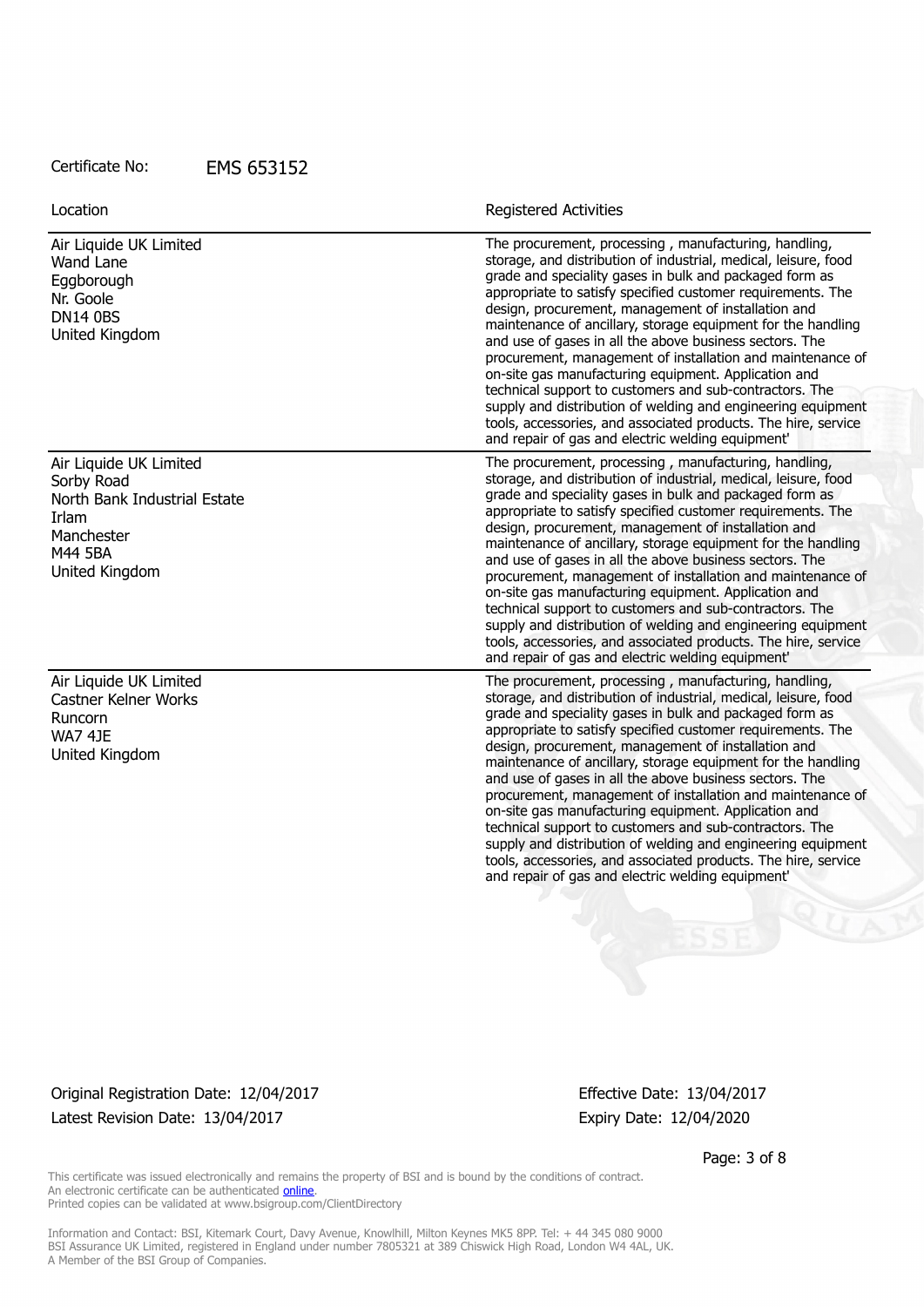| Location                                                                                                                        | <b>Registered Activities</b>                                                                                                                                                                                                                                                                                                                                                                                                                                                                                                                                                                                                                                                                                                                                                                                 |
|---------------------------------------------------------------------------------------------------------------------------------|--------------------------------------------------------------------------------------------------------------------------------------------------------------------------------------------------------------------------------------------------------------------------------------------------------------------------------------------------------------------------------------------------------------------------------------------------------------------------------------------------------------------------------------------------------------------------------------------------------------------------------------------------------------------------------------------------------------------------------------------------------------------------------------------------------------|
| Air Liquide UK Limited<br>Wand Lane<br>Eggborough<br>Nr. Goole<br><b>DN14 0BS</b><br>United Kingdom                             | The procurement, processing, manufacturing, handling,<br>storage, and distribution of industrial, medical, leisure, food<br>grade and speciality gases in bulk and packaged form as<br>appropriate to satisfy specified customer requirements. The<br>design, procurement, management of installation and<br>maintenance of ancillary, storage equipment for the handling<br>and use of gases in all the above business sectors. The<br>procurement, management of installation and maintenance of<br>on-site gas manufacturing equipment. Application and<br>technical support to customers and sub-contractors. The<br>supply and distribution of welding and engineering equipment<br>tools, accessories, and associated products. The hire, service<br>and repair of gas and electric welding equipment' |
| Air Liquide UK Limited<br>Sorby Road<br>North Bank Industrial Estate<br><b>Irlam</b><br>Manchester<br>M44 5BA<br>United Kingdom | The procurement, processing, manufacturing, handling,<br>storage, and distribution of industrial, medical, leisure, food<br>grade and speciality gases in bulk and packaged form as                                                                                                                                                                                                                                                                                                                                                                                                                                                                                                                                                                                                                          |
|                                                                                                                                 | appropriate to satisfy specified customer requirements. The<br>design, procurement, management of installation and<br>maintenance of ancillary, storage equipment for the handling<br>and use of gases in all the above business sectors. The<br>procurement, management of installation and maintenance of<br>on-site gas manufacturing equipment. Application and<br>technical support to customers and sub-contractors. The<br>supply and distribution of welding and engineering equipment<br>tools, accessories, and associated products. The hire, service<br>and repair of gas and electric welding equipment'                                                                                                                                                                                        |
| Air Liquide UK Limited<br>Castner Kelner Works<br>Runcorn<br><b>WA7 4JE</b><br>United Kingdom                                   | The procurement, processing, manufacturing, handling,<br>storage, and distribution of industrial, medical, leisure, food<br>grade and speciality gases in bulk and packaged form as<br>appropriate to satisfy specified customer requirements. The<br>design, procurement, management of installation and<br>maintenance of ancillary, storage equipment for the handling<br>and use of gases in all the above business sectors. The<br>procurement, management of installation and maintenance of<br>on-site gas manufacturing equipment. Application and<br>technical support to customers and sub-contractors. The<br>supply and distribution of welding and engineering equipment<br>tools, accessories, and associated products. The hire, service<br>and repair of gas and electric welding equipment' |
|                                                                                                                                 |                                                                                                                                                                                                                                                                                                                                                                                                                                                                                                                                                                                                                                                                                                                                                                                                              |

Original Registration Date: 12/04/2017 Effective Date: 13/04/2017 Latest Revision Date: 13/04/2017 Expiry Date: 12/04/2020

Page: 3 of 8

This certificate was issued electronically and remains the property of BSI and is bound by the conditions of contract. An electronic certificate can be authenticated **[online](https://pgplus.bsigroup.com/CertificateValidation/CertificateValidator.aspx?CertificateNumber=EMS+653152&ReIssueDate=13%2f04%2f2017&Template=uk)**. Printed copies can be validated at www.bsigroup.com/ClientDirectory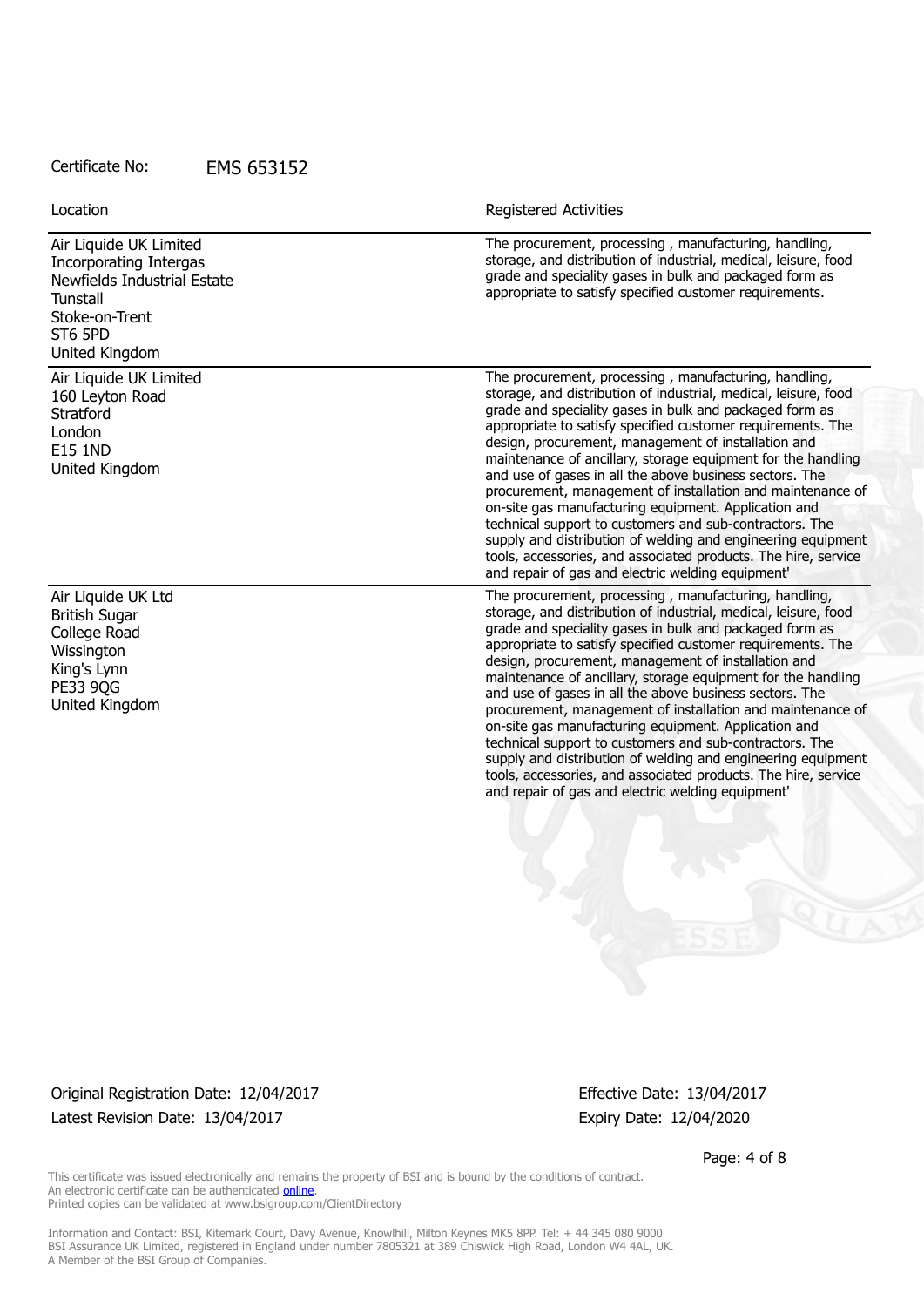Air Liquide UK Limited Incorporating Intergas Newfields Industrial Estate **Tunstall** Stoke-on-Trent ST6 5PD United Kingdom

Air Liquide UK Limited 160 Leyton Road **Stratford** London E15 1ND United Kingdom

Air Liquide UK Ltd British Sugar College Road **Wissington** King's Lynn **PE33 90G** United Kingdom

Location **Exercise 2018 Location Registered Activities** 

The procurement, processing , manufacturing, handling, storage, and distribution of industrial, medical, leisure, food grade and speciality gases in bulk and packaged form as appropriate to satisfy specified customer requirements.

The procurement, processing , manufacturing, handling, storage, and distribution of industrial, medical, leisure, food grade and speciality gases in bulk and packaged form as appropriate to satisfy specified customer requirements. The design, procurement, management of installation and maintenance of ancillary, storage equipment for the handling and use of gases in all the above business sectors. The procurement, management of installation and maintenance of on-site gas manufacturing equipment. Application and technical support to customers and sub-contractors. The supply and distribution of welding and engineering equipment tools, accessories, and associated products. The hire, service and repair of gas and electric welding equipment'

The procurement, processing , manufacturing, handling, storage, and distribution of industrial, medical, leisure, food grade and speciality gases in bulk and packaged form as appropriate to satisfy specified customer requirements. The design, procurement, management of installation and maintenance of ancillary, storage equipment for the handling and use of gases in all the above business sectors. The procurement, management of installation and maintenance of on-site gas manufacturing equipment. Application and technical support to customers and sub-contractors. The supply and distribution of welding and engineering equipment tools, accessories, and associated products. The hire, service and repair of gas and electric welding equipment'

Original Registration Date: 12/04/2017 Effective Date: 13/04/2017 Latest Revision Date: 13/04/2017 Expiry Date: 12/04/2020

Page: 4 of 8

This certificate was issued electronically and remains the property of BSI and is bound by the conditions of contract. An electronic certificate can be authenticated [online](https://pgplus.bsigroup.com/CertificateValidation/CertificateValidator.aspx?CertificateNumber=EMS+653152&ReIssueDate=13%2f04%2f2017&Template=uk). Printed copies can be validated at www.bsigroup.com/ClientDirectory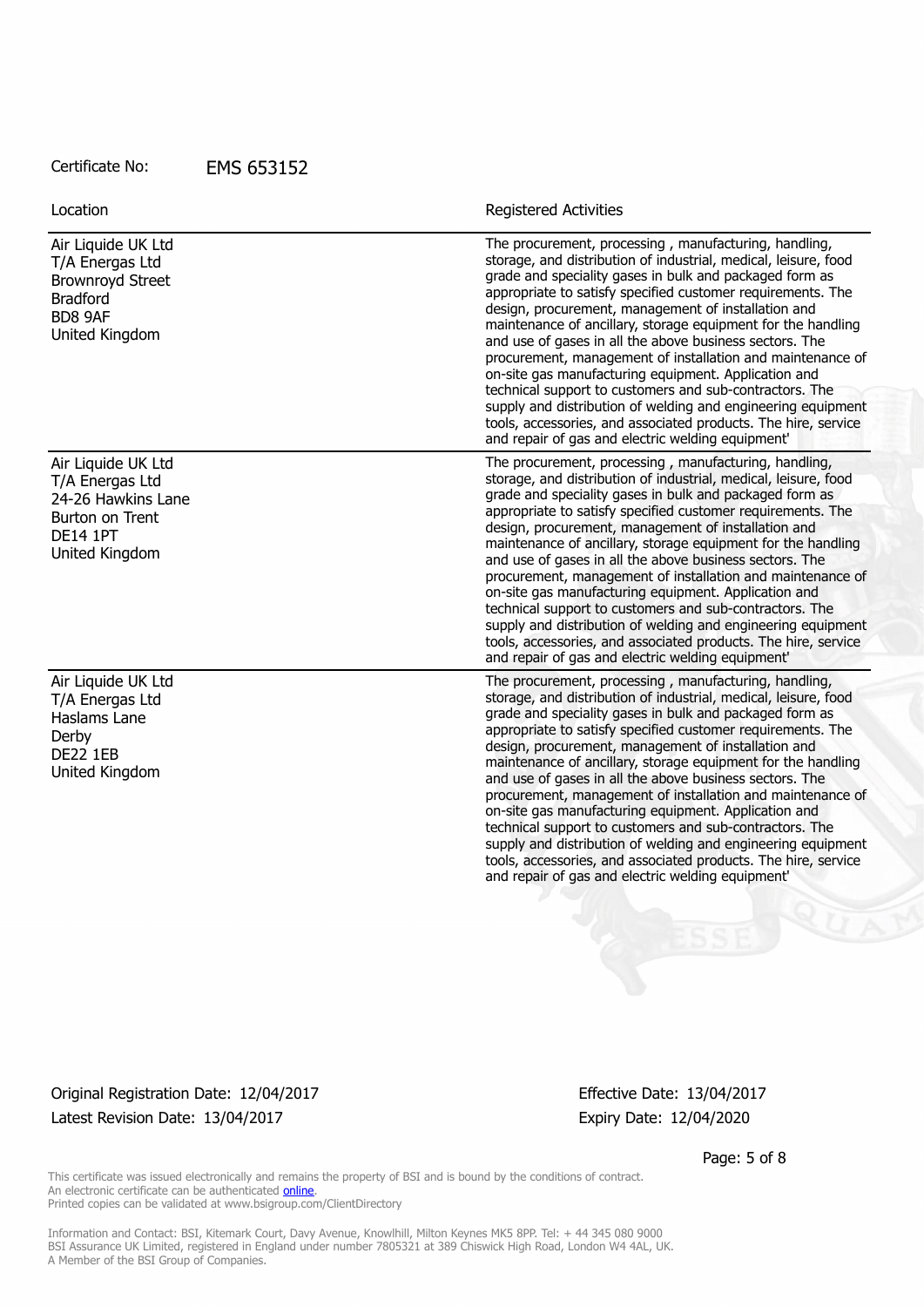| <b>Registered Activities</b>                                                                                                                                                                                                                                                                                                                                                                                                                                                                                                                                                                                                                                                                                                                                                                                 |
|--------------------------------------------------------------------------------------------------------------------------------------------------------------------------------------------------------------------------------------------------------------------------------------------------------------------------------------------------------------------------------------------------------------------------------------------------------------------------------------------------------------------------------------------------------------------------------------------------------------------------------------------------------------------------------------------------------------------------------------------------------------------------------------------------------------|
| The procurement, processing, manufacturing, handling,<br>storage, and distribution of industrial, medical, leisure, food<br>grade and speciality gases in bulk and packaged form as<br>appropriate to satisfy specified customer requirements. The<br>design, procurement, management of installation and<br>maintenance of ancillary, storage equipment for the handling<br>and use of gases in all the above business sectors. The<br>procurement, management of installation and maintenance of<br>on-site gas manufacturing equipment. Application and<br>technical support to customers and sub-contractors. The<br>supply and distribution of welding and engineering equipment<br>tools, accessories, and associated products. The hire, service<br>and repair of gas and electric welding equipment' |
| The procurement, processing, manufacturing, handling,<br>storage, and distribution of industrial, medical, leisure, food<br>grade and speciality gases in bulk and packaged form as                                                                                                                                                                                                                                                                                                                                                                                                                                                                                                                                                                                                                          |
| appropriate to satisfy specified customer requirements. The<br>design, procurement, management of installation and<br>maintenance of ancillary, storage equipment for the handling<br>and use of gases in all the above business sectors. The<br>procurement, management of installation and maintenance of<br>on-site gas manufacturing equipment. Application and<br>technical support to customers and sub-contractors. The<br>supply and distribution of welding and engineering equipment<br>tools, accessories, and associated products. The hire, service<br>and repair of gas and electric welding equipment'                                                                                                                                                                                        |
| The procurement, processing, manufacturing, handling,<br>storage, and distribution of industrial, medical, leisure, food<br>grade and speciality gases in bulk and packaged form as<br>appropriate to satisfy specified customer requirements. The<br>design, procurement, management of installation and<br>maintenance of ancillary, storage equipment for the handling<br>and use of gases in all the above business sectors. The<br>procurement, management of installation and maintenance of<br>on-site gas manufacturing equipment. Application and<br>technical support to customers and sub-contractors. The<br>supply and distribution of welding and engineering equipment<br>tools, accessories, and associated products. The hire, service<br>and repair of gas and electric welding equipment' |
|                                                                                                                                                                                                                                                                                                                                                                                                                                                                                                                                                                                                                                                                                                                                                                                                              |

Original Registration Date: 12/04/2017 Effective Date: 13/04/2017 Latest Revision Date: 13/04/2017 Expiry Date: 12/04/2020

Page: 5 of 8

This certificate was issued electronically and remains the property of BSI and is bound by the conditions of contract. An electronic certificate can be authenticated **[online](https://pgplus.bsigroup.com/CertificateValidation/CertificateValidator.aspx?CertificateNumber=EMS+653152&ReIssueDate=13%2f04%2f2017&Template=uk)**. Printed copies can be validated at www.bsigroup.com/ClientDirectory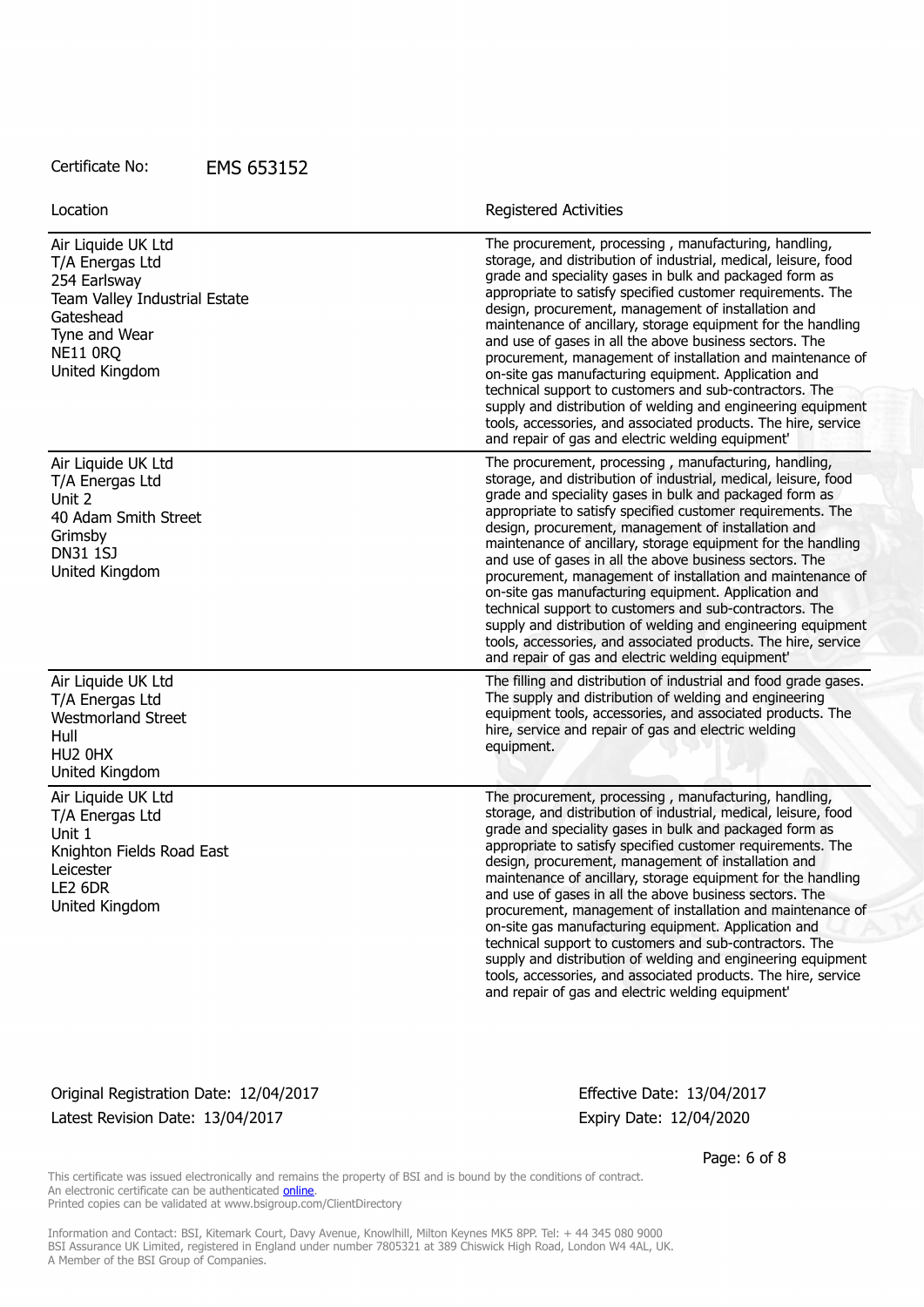| Location                                                                                                                                                  | Registered Activities                                                                                                                                                                                                                                                                                                                                                                                                                                                                                                                                                                                                                                                                                                                                                                                        |
|-----------------------------------------------------------------------------------------------------------------------------------------------------------|--------------------------------------------------------------------------------------------------------------------------------------------------------------------------------------------------------------------------------------------------------------------------------------------------------------------------------------------------------------------------------------------------------------------------------------------------------------------------------------------------------------------------------------------------------------------------------------------------------------------------------------------------------------------------------------------------------------------------------------------------------------------------------------------------------------|
| Air Liquide UK Ltd<br>T/A Energas Ltd<br>254 Earlsway<br>Team Valley Industrial Estate<br>Gateshead<br>Tyne and Wear<br><b>NE11 0RQ</b><br>United Kingdom | The procurement, processing, manufacturing, handling,<br>storage, and distribution of industrial, medical, leisure, food<br>grade and speciality gases in bulk and packaged form as<br>appropriate to satisfy specified customer requirements. The<br>design, procurement, management of installation and<br>maintenance of ancillary, storage equipment for the handling<br>and use of gases in all the above business sectors. The<br>procurement, management of installation and maintenance of<br>on-site gas manufacturing equipment. Application and<br>technical support to customers and sub-contractors. The<br>supply and distribution of welding and engineering equipment<br>tools, accessories, and associated products. The hire, service<br>and repair of gas and electric welding equipment  |
| Air Liquide UK Ltd<br>T/A Energas Ltd<br>Unit 2<br>40 Adam Smith Street<br>Grimsby<br><b>DN31 1SJ</b><br>United Kingdom                                   | The procurement, processing, manufacturing, handling,<br>storage, and distribution of industrial, medical, leisure, food<br>grade and speciality gases in bulk and packaged form as<br>appropriate to satisfy specified customer requirements. The<br>design, procurement, management of installation and<br>maintenance of ancillary, storage equipment for the handling<br>and use of gases in all the above business sectors. The<br>procurement, management of installation and maintenance of<br>on-site gas manufacturing equipment. Application and<br>technical support to customers and sub-contractors. The<br>supply and distribution of welding and engineering equipment<br>tools, accessories, and associated products. The hire, service<br>and repair of gas and electric welding equipment' |
| Air Liquide UK Ltd<br>T/A Energas Ltd<br><b>Westmorland Street</b><br>Hull<br>HU2 0HX<br>United Kingdom                                                   | The filling and distribution of industrial and food grade gases.<br>The supply and distribution of welding and engineering<br>equipment tools, accessories, and associated products. The<br>hire, service and repair of gas and electric welding<br>equipment.                                                                                                                                                                                                                                                                                                                                                                                                                                                                                                                                               |
| Air Liquide UK Ltd<br>T/A Energas Ltd<br>Unit 1<br>Knighton Fields Road East<br>Leicester<br>LE2 6DR<br>United Kingdom                                    | The procurement, processing, manufacturing, handling,<br>storage, and distribution of industrial, medical, leisure, food<br>grade and speciality gases in bulk and packaged form as<br>appropriate to satisfy specified customer requirements. The<br>design, procurement, management of installation and<br>maintenance of ancillary, storage equipment for the handling<br>and use of gases in all the above business sectors. The<br>procurement, management of installation and maintenance of<br>on-site gas manufacturing equipment. Application and<br>technical support to customers and sub-contractors. The<br>supply and distribution of welding and engineering equipment<br>tools, accessories, and associated products. The hire, service<br>and repair of gas and electric welding equipment' |

### Original Registration Date: 12/04/2017 Effective Date: 13/04/2017 Latest Revision Date: 13/04/2017 Expiry Date: 12/04/2020

Page: 6 of 8

This certificate was issued electronically and remains the property of BSI and is bound by the conditions of contract. An electronic certificate can be authenticated **[online](https://pgplus.bsigroup.com/CertificateValidation/CertificateValidator.aspx?CertificateNumber=EMS+653152&ReIssueDate=13%2f04%2f2017&Template=uk)**. Printed copies can be validated at www.bsigroup.com/ClientDirectory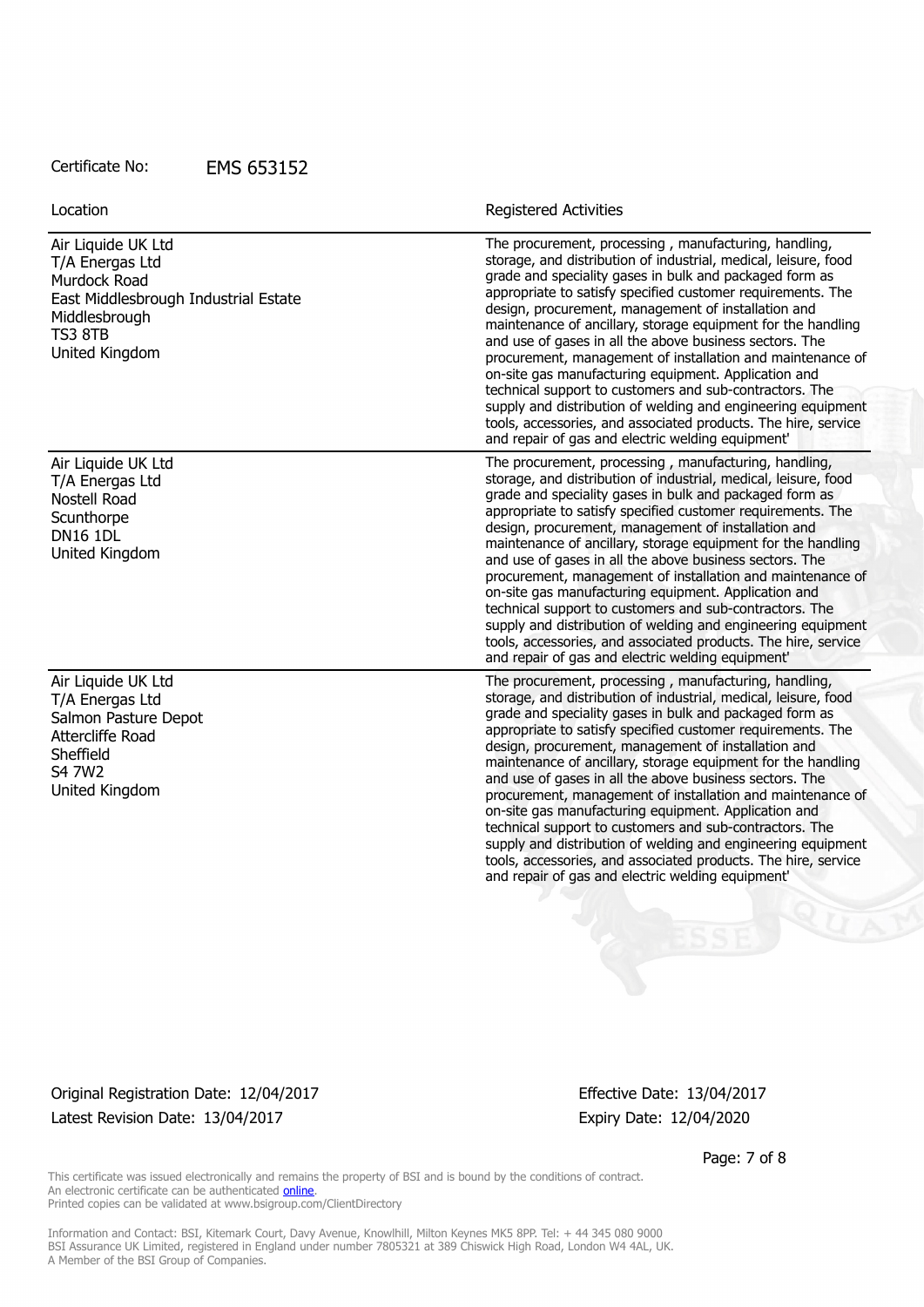| Location                                                                                                                                           | <b>Registered Activities</b>                                                                                                                                                                                                                                                                                                                                                                                                                                                                                                                                                                                                                                                                                                                                                                                 |
|----------------------------------------------------------------------------------------------------------------------------------------------------|--------------------------------------------------------------------------------------------------------------------------------------------------------------------------------------------------------------------------------------------------------------------------------------------------------------------------------------------------------------------------------------------------------------------------------------------------------------------------------------------------------------------------------------------------------------------------------------------------------------------------------------------------------------------------------------------------------------------------------------------------------------------------------------------------------------|
| Air Liquide UK Ltd<br>T/A Energas Ltd<br>Murdock Road<br>East Middlesbrough Industrial Estate<br>Middlesbrough<br><b>TS3 8TB</b><br>United Kingdom | The procurement, processing, manufacturing, handling,<br>storage, and distribution of industrial, medical, leisure, food<br>grade and speciality gases in bulk and packaged form as<br>appropriate to satisfy specified customer requirements. The<br>design, procurement, management of installation and<br>maintenance of ancillary, storage equipment for the handling<br>and use of gases in all the above business sectors. The<br>procurement, management of installation and maintenance of<br>on-site gas manufacturing equipment. Application and<br>technical support to customers and sub-contractors. The<br>supply and distribution of welding and engineering equipment<br>tools, accessories, and associated products. The hire, service<br>and repair of gas and electric welding equipment' |
| Air Liquide UK Ltd<br>T/A Energas Ltd<br><b>Nostell Road</b>                                                                                       | The procurement, processing, manufacturing, handling,<br>storage, and distribution of industrial, medical, leisure, food<br>grade and speciality gases in bulk and packaged form as<br>appropriate to satisfy specified customer requirements. The                                                                                                                                                                                                                                                                                                                                                                                                                                                                                                                                                           |
| Scunthorpe<br><b>DN16 1DL</b><br>United Kingdom                                                                                                    | design, procurement, management of installation and<br>maintenance of ancillary, storage equipment for the handling<br>and use of gases in all the above business sectors. The<br>procurement, management of installation and maintenance of<br>on-site gas manufacturing equipment. Application and<br>technical support to customers and sub-contractors. The<br>supply and distribution of welding and engineering equipment<br>tools, accessories, and associated products. The hire, service<br>and repair of gas and electric welding equipment'                                                                                                                                                                                                                                                       |
| Air Liquide UK Ltd<br>T/A Energas Ltd<br>Salmon Pasture Depot<br>Attercliffe Road<br>Sheffield<br>S4 7W2<br>United Kingdom                         | The procurement, processing, manufacturing, handling,<br>storage, and distribution of industrial, medical, leisure, food<br>grade and speciality gases in bulk and packaged form as<br>appropriate to satisfy specified customer requirements. The<br>design, procurement, management of installation and<br>maintenance of ancillary, storage equipment for the handling<br>and use of gases in all the above business sectors. The<br>procurement, management of installation and maintenance of<br>on-site gas manufacturing equipment. Application and<br>technical support to customers and sub-contractors. The<br>supply and distribution of welding and engineering equipment<br>tools, accessories, and associated products. The hire, service<br>and repair of gas and electric welding equipment' |

Original Registration Date: 12/04/2017 Effective Date: 13/04/2017 Latest Revision Date: 13/04/2017 Expiry Date: 12/04/2020

Page: 7 of 8

This certificate was issued electronically and remains the property of BSI and is bound by the conditions of contract. An electronic certificate can be authenticated **[online](https://pgplus.bsigroup.com/CertificateValidation/CertificateValidator.aspx?CertificateNumber=EMS+653152&ReIssueDate=13%2f04%2f2017&Template=uk)**. Printed copies can be validated at www.bsigroup.com/ClientDirectory